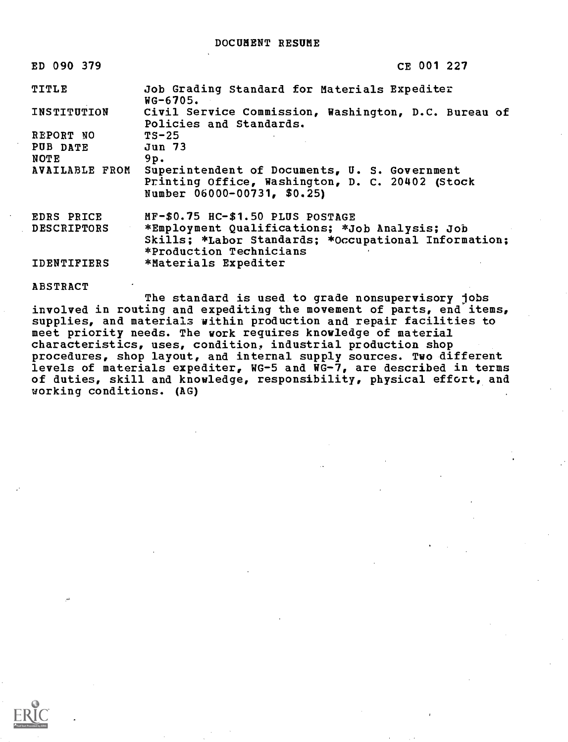| ED 090 379            | CE 001 227                                                                                                                      |
|-----------------------|---------------------------------------------------------------------------------------------------------------------------------|
| TITLE                 | Job Grading Standard for Materials Expediter<br>$NG-6705.$                                                                      |
| <b>INSTITUTION</b>    | Civil Service Commission, Washington, D.C. Bureau of<br>Policies and Standards.                                                 |
| REPORT NO             | $TS-25$                                                                                                                         |
| PUB DATE              | Jun 73                                                                                                                          |
| NOTE                  | 9p.                                                                                                                             |
| <b>AVAILABLE FROM</b> | Superintendent of Documents, U. S. Government<br>Printing Office, Washington, D. C. 20402 (Stock<br>Number 06000-00731, \$0.25) |
| <b>EDRS PRICE</b>     | MF-\$0.75 HC-\$1.50 PLUS POSTAGE                                                                                                |
| <b>DESCRIPTORS</b>    | *Employment Qualifications; *Job Analysis; Job                                                                                  |
|                       | Skills; *Labor Standards; *Occupational Information;<br>*Production Technicians                                                 |
| <b>IDENTIFIERS</b>    | *Materials Expediter                                                                                                            |

ABSTRACT

The standard is used to grade nonsupervisory jobs involved in routing and expediting the movement of parts, end items, supplies, and materials within production and repair facilities to meet priority needs. The work requires knowledge of material characteristics, uses, condition, industrial production shop procedures, shop layout, and internal supply sources. Two different levels of materials expediter, WG-5 and WG-7, are described in terms of duties, skill and knowledge, responsibility, physical effort, and working conditions. (AG)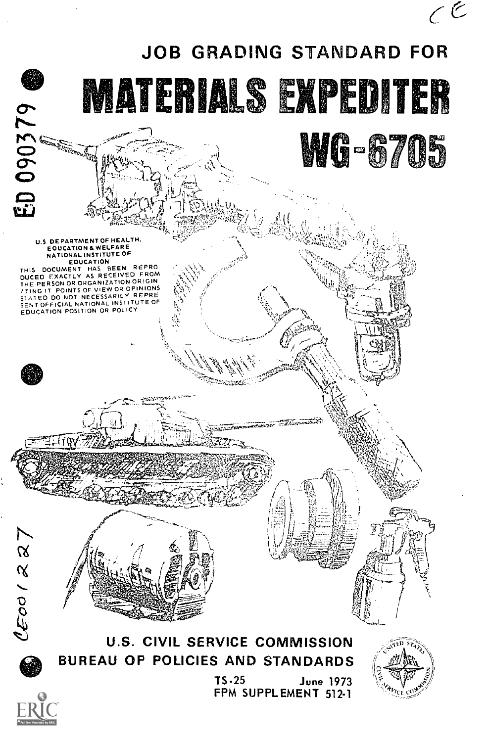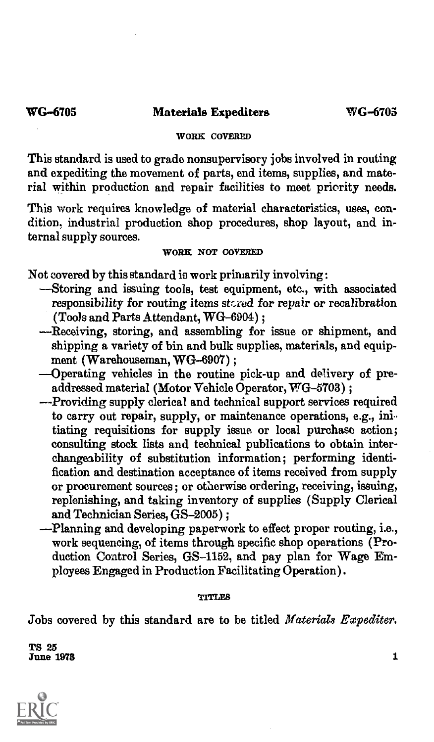# WORK COVERED

This standard is used to grade nonsupervisory jobs involved in routing and expediting the movement of parts, end items, supplies, and material within production and repair facilities to meet priority needs.

This work requires knowledge of material characteristics, uses, condition. industrial production shop procedures, shop layout, and internal supply sources.

# WORK NOT COVERED

Not covered by this standard is work primarily involving :

- -Storing and issuing tools, test equipment, etc., with associated responsibility for routing items stored for repair or recalibration (Tools and Parts Attendant, WG-6904) ;
- Receiving, storing, and assembling for issue or shipment, and shipping a variety of bin and bulk supplies, materials, and equipment (Warehouseman, WG-6907);
- Operating vehicles in the routine pick-up and delivery of pre $a\bar{d}d$ ressed material (Motor Vehicle Operator, WG-5703) ;
- --Providing supply clerical and technical support services required to carry out repair, supply, or maintenance operations, e.g., ini. tiating requisitions for supply issue or local purchase action; consulting stock lists and technical publications to obtain interchangeability of substitution information; performing identification and destination acceptance of items received from supply or procurement sources ; or otherwise ordering, receiving, issuing, replenishing, and taking inventory of supplies (Supply Clerical and Technician Series, GS-2005) ;
- Planning and developing paperwork to effect proper routing, i.e., work sequencing, of items through specific shop operations (Production Control Series, GS-1152, and pay plan for Wage Employees Engaged in Production Facilitating Operation) .

## TITLES

Jobs covered by this standard are to be titled Materials Expediter.

TS 25<br>June 1978 June  $1973$   $100$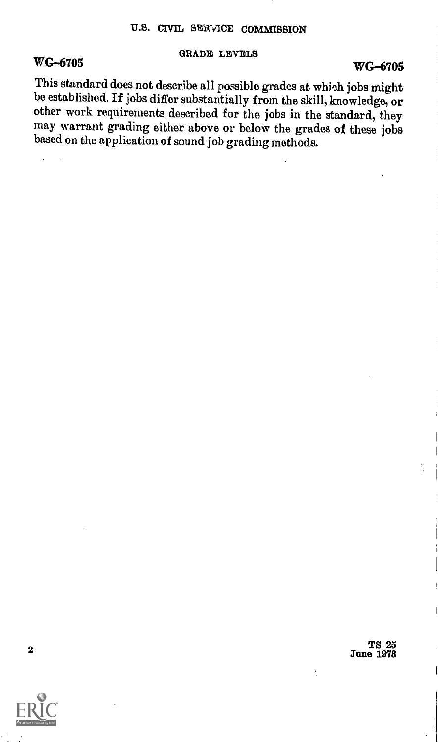### GRADE LEVELS

# WG-6705 WG-6705

This standard does not describe all possible grades at which jobs might be established. If jobs differ substantially from the skill, knowledge, or other work requirements described for the jobs in the standard, they may warrant grading either above or below the grades of these jobs based on the application of sound job grading methods.

 $\frac{\text{TS} \hspace{0.1cm} 25}{\text{Jino} \hspace{0.1cm} 1978}$ June 1078

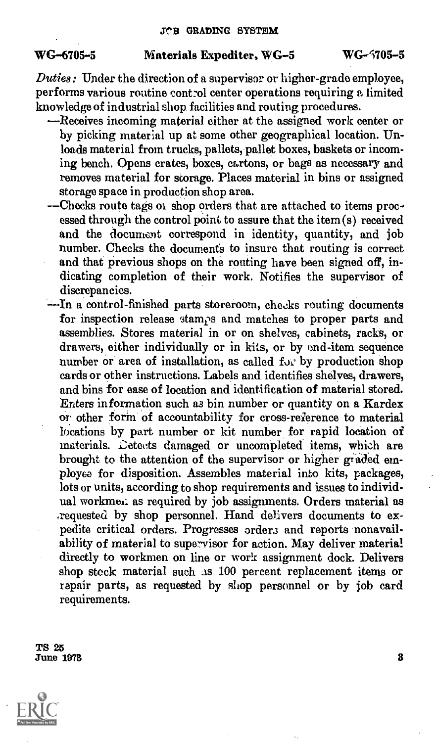# WG-6705-5 Materials Expediter, WC-5 WC-5705-5

Duties: Under the direction of a supervisor or higher-grade employee, performs various routine control center operations requiring a limited knowledge of industrial shop facilities and routing procedures.

- Receives incoming material either at the assigned work center or by picking material up at some other geographical location. Unloads material from trucks, pallets, pallet boxes, baskets or incoming bench. Opens crates, boxes, cartons, or bags as necessary and removes material for storage. Places material in bins or assigned storage space in production shop area.
- -- Checks route tags of shop orders that are attached to items processed through the control point to assure that the item (s) received and the document correspond in identity, quantity, and job number. Checks the documents to insure that routing is correct and that previous shops on the routing have been signed off, indicating completion of their work. Notifies the supervisor of discrepancies.
- -- In a control-finished parts storeroom, checks routing documents for inspection release stamps and matches to proper parts and assemblies. Stores material in or on shelves, cabinets, racks, or drawers, either individually or in kits, or by end-item sequence number or area of installation, as called for by production shop cards or other instructions. Labels and identifies shelves, drawers, and bins for ease of location and identification of material stored. Enters information such as bin number or quantity on a Kardex or other form of accountability for cross-reference to material locations by part number or kit number for rapid location of materials. Letects damaged or uncompleted items, which are brought to the attention of the supervisor or higher graded employee for disposition. Assembles material into kits, packages, lots or units, according to shop requirements and issues to individual workmen: as required by job assignments. Orders material as ,requested by shop personnel, Hand delivers documents to expedite critical orders. Progresses orders and reports nonavailability of material to supervisor for action. May deliver material directly to workmen on line or work assignment dock. Delivers shop stock material such as 100 percent replacement items or repair parts, as requested by shop personnel or by job card requirements.

TS 25 June 1973

 $\mathbf{a}$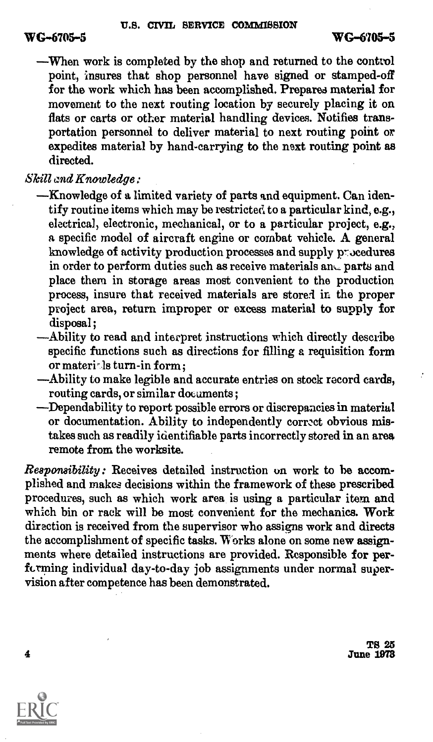When work is completed by the shop and returned to the control point, insures that shop personnel have signed or stamped-off for the work which has been accomplished. Prepares material for movement to the next routing location by securely placing it on flats or carts or other material handling devices. Notifies transportation personnel to deliver material to next routing point or expedites material by hand-carrying to the next routing point as directed.

# Skill and Knowledge:

- -Knowledge of a limited variety of parts and equipment. Can identify routine items which may be restricted to a particular kind, e.g., electrical, electronic, mechanical, or to a particular project, e.g., a specific model of aircraft engine or combat vehicle. A general knowledge of activity production processes and supply procedures in order to perform duties such as receive materials and parts and place them in storage areas most convenient to the production process, insure that received materials are stored in the proper project area, return improper or excess material to supply for disposal;
- Ability to read and interpret instructions which directly describe specific functions such as directions for filling a requisition form or materi- ls turn-in form;
- Ability to make legible and accurate entries on stock record cards, routing cards, or similar documents;
- Dependability to report possible errors or discrepancies in material or documentation. Ability to independently correct obvious mistakes such as readily identifiable parts incorrectly stored in an area remote from the worksite.

Responsibility: Receives detailed instruction on work to be accomplished and makes decisions within the framework of these prescribed procedures, such as which work area is using a particular item and which bin or rack will be most convenient for the mechanics. Work direction is received from the supervisor who assigns work and directs the accomplishment of specific tasks. Works alone on some new assignments where detailed instructions are provided. Responsible for perfcrming individual day-to-day job assignments under normal supervision after competence has been demonstrated.

> TS 25 June 1978



4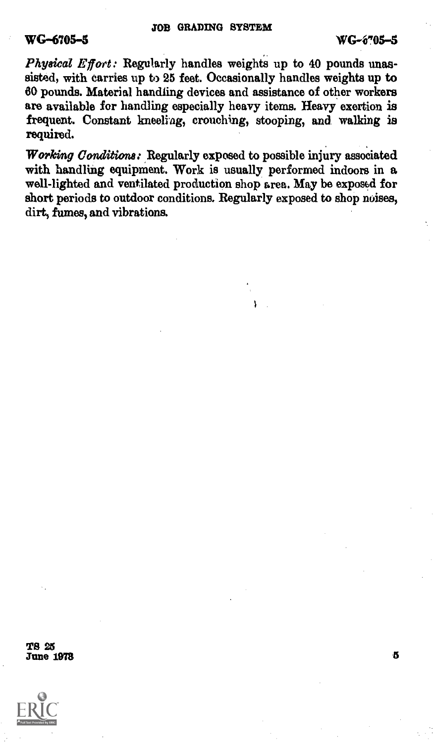# WG-6705-5

Physical Effort: Regularly handles weights up to 40 pounds unassisted, with carries up to 25 feet. Occasionally handles weights up to 80 pounds. Material handling devices and assistance of other workers are available for handling especially heavy items. Heavy exertion is frequent. Constant kneeling, crouching, stooping, and walking is required.

Working Conditions: Regularly exposed to possible injury associated with handling equipment. Work is usually performed indoors in a well-lighted and ventilated production shop area. May be exposed for short periods to outdoor conditions. Regularly exposed to shop noises, dirt, fumes, and vibrations.

TS 25<br>June 1978 June  $1973$ 

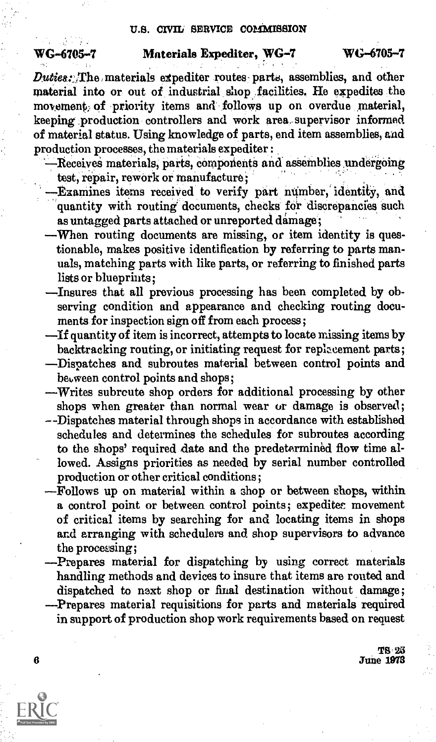### U.S. CIVIL SERVICE COMMISSION

# WG-6705-7 Materials Expediter, WG-7 WG-6705-7

Duties: The materials expediter routes parts, assemblies, and other material into or out of industrial shop facilities. He expedites the movement, of priority items and follows up on overdue material, keeping production controllers and work area supervisor informed of material status. Using knowledge of parts, end item assemblies, and production processes, the materials expediter :

- Receives materials, parts, components and assemblies undergoing test, repair, rework or manufacture ;
- Examines items received to verify part number,' identity, and quantity with routing documents, checks for discrepancies such as untagged parts attached or unreported damage;
- When routing documents are missing, or item identity is questionable, makes positive identification by referring to parts manuals, matching parts with like parts, or referring to finished parts lists or blueprints;
- Insures that all previous processing has been completed by observing condition and appearance and checking routing documents for inspection sign off from each process;
- If quantity of item is incorrect, attempts to locate missing items by backtracking routing, or initiating request for replacement parts;
- Dispatches and subroutes material between control points and between control points and shops;
- -Writes subrcute shop orders for additional processing by other shops when greater than normal wear or damage is observed;
- --Dispatches material through shops in accordance with established schedules and determines the schedules for subroutes according to the shops' required date and the predetermined flow time allowed. Assigns priorities as needed by serial number controlled production or other critical conditions;
- Follows up on material within a shop or between shops, within a control point or between control points; expedites movement of critical items by searching for and locating items in shops and arranging with schedulers and shop supervisors to advance the processing;
- Prepares material for dispatching by using correct materials handling methods and devices to insure that items are routed and dispatched to next shop or final destination without damage; Prepares material requisitions for parts and materials required in support of production shop work requirements based on request

TS 25 **June 1978** 



6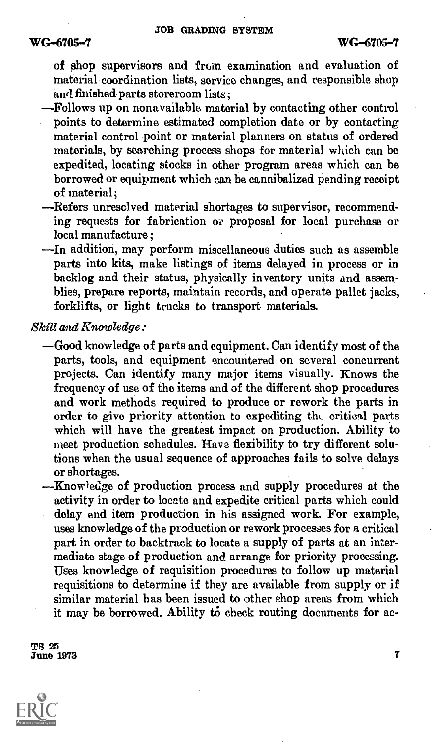of shop supervisors and from examination and evaluation of material coordination lists, service changes, and responsible shop and finished parts storeroom lists:

- Follows up on non available material by contacting other control points to determine estimated completion date or by contacting material control point or material planners on status of ordered materials, by searching process shops for material which can be expedited, locating stocks in other program areas which can be borrowed or equipment which can be cannibalized pending receipt of material;
- Refers unresolved material shortages to supervisor, recommending requests for fabrication or proposal for local purchase or local manufacture ;
- In addition, may perform miscellaneous duties such as assemble parts into kits, make listings of items delayed in process or in backlog and their status, physically inventory units and assemblies, prepare reports, maintain records, and operate pallet jacks, forklifts, or light trucks to transport materials.

Skill and Knowledge:

- Good knowledge of parts and equipment. Can identify most of the parts, tools, and equipment encountered on several concurrent projects. Can identify many major items visually. Knows the frequency of use of the items and of the different shop procedures and work methods required to produce or rework the parts in order to give priority attention to expediting thu critical parts which will have the greatest impact on production. Ability to meet production schedules. Have flexibility to try different solutions when the usual sequence of approaches fails to solve delays or shortages.
- Knowledge of production process and supply procedures at the activity in order to locate and expedite critical parts which could delay end item production in his assigned work. For example, uses knowledge of the production or rework processes for a critical part in order to backtrack to locate a supply of parts at an intermediate stage of production and arrange for priority processing. Uses knowledge of requisition procedures to follow up material requisitions to determine if they are available from supply or if similar material has been issued to other shop areas from which it may be borrowed. Ability to check routing documents for ac-

TS 25  $\overline{\text{June}}$  1978  $\overline{7}$